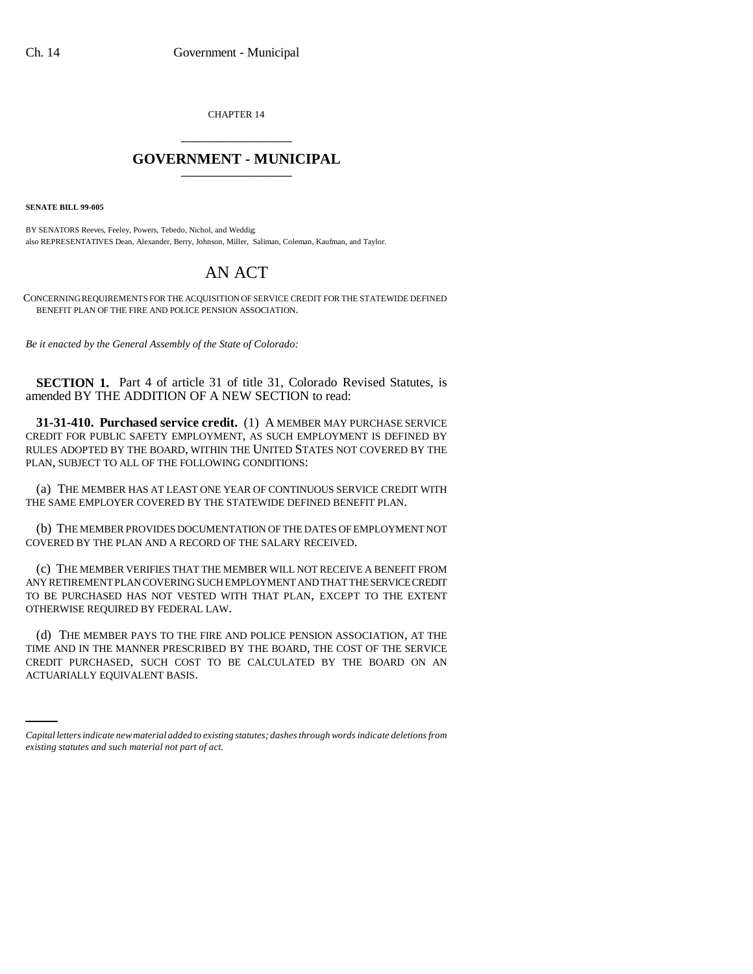CHAPTER 14 \_\_\_\_\_\_\_\_\_\_\_\_\_\_\_

## **GOVERNMENT - MUNICIPAL** \_\_\_\_\_\_\_\_\_\_\_\_\_\_\_

**SENATE BILL 99-005** 

BY SENATORS Reeves, Feeley, Powers, Tebedo, Nichol, and Weddig; also REPRESENTATIVES Dean, Alexander, Berry, Johnson, Miller, Saliman, Coleman, Kaufman, and Taylor.

## AN ACT

CONCERNING REQUIREMENTS FOR THE ACQUISITION OF SERVICE CREDIT FOR THE STATEWIDE DEFINED BENEFIT PLAN OF THE FIRE AND POLICE PENSION ASSOCIATION.

*Be it enacted by the General Assembly of the State of Colorado:*

**SECTION 1.** Part 4 of article 31 of title 31, Colorado Revised Statutes, is amended BY THE ADDITION OF A NEW SECTION to read:

**31-31-410. Purchased service credit.** (1) A MEMBER MAY PURCHASE SERVICE CREDIT FOR PUBLIC SAFETY EMPLOYMENT, AS SUCH EMPLOYMENT IS DEFINED BY RULES ADOPTED BY THE BOARD, WITHIN THE UNITED STATES NOT COVERED BY THE PLAN, SUBJECT TO ALL OF THE FOLLOWING CONDITIONS:

(a) THE MEMBER HAS AT LEAST ONE YEAR OF CONTINUOUS SERVICE CREDIT WITH THE SAME EMPLOYER COVERED BY THE STATEWIDE DEFINED BENEFIT PLAN.

(b) THE MEMBER PROVIDES DOCUMENTATION OF THE DATES OF EMPLOYMENT NOT COVERED BY THE PLAN AND A RECORD OF THE SALARY RECEIVED.

(c) THE MEMBER VERIFIES THAT THE MEMBER WILL NOT RECEIVE A BENEFIT FROM ANY RETIREMENT PLAN COVERING SUCH EMPLOYMENT AND THAT THE SERVICE CREDIT TO BE PURCHASED HAS NOT VESTED WITH THAT PLAN, EXCEPT TO THE EXTENT OTHERWISE REQUIRED BY FEDERAL LAW.

CREDIT PURCHASED, SUCH COST TO BE CALCULATED BY THE BOARD ON AN (d) THE MEMBER PAYS TO THE FIRE AND POLICE PENSION ASSOCIATION, AT THE TIME AND IN THE MANNER PRESCRIBED BY THE BOARD, THE COST OF THE SERVICE ACTUARIALLY EQUIVALENT BASIS.

*Capital letters indicate new material added to existing statutes; dashes through words indicate deletions from existing statutes and such material not part of act.*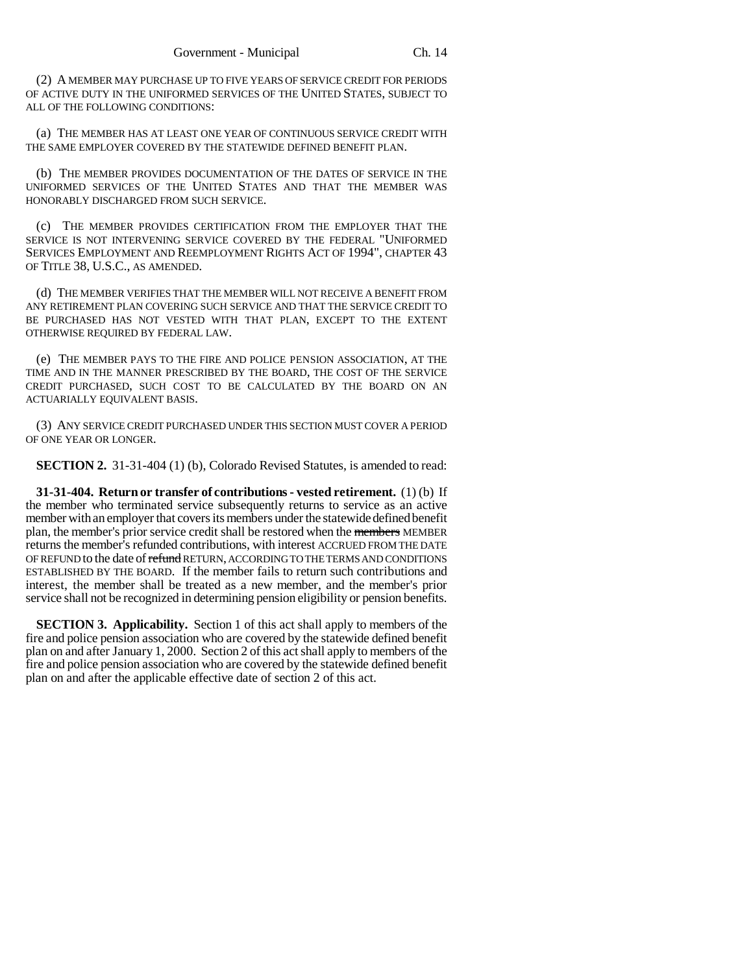(2) A MEMBER MAY PURCHASE UP TO FIVE YEARS OF SERVICE CREDIT FOR PERIODS OF ACTIVE DUTY IN THE UNIFORMED SERVICES OF THE UNITED STATES, SUBJECT TO ALL OF THE FOLLOWING CONDITIONS:

(a) THE MEMBER HAS AT LEAST ONE YEAR OF CONTINUOUS SERVICE CREDIT WITH THE SAME EMPLOYER COVERED BY THE STATEWIDE DEFINED BENEFIT PLAN.

(b) THE MEMBER PROVIDES DOCUMENTATION OF THE DATES OF SERVICE IN THE UNIFORMED SERVICES OF THE UNITED STATES AND THAT THE MEMBER WAS HONORABLY DISCHARGED FROM SUCH SERVICE.

(c) THE MEMBER PROVIDES CERTIFICATION FROM THE EMPLOYER THAT THE SERVICE IS NOT INTERVENING SERVICE COVERED BY THE FEDERAL "UNIFORMED SERVICES EMPLOYMENT AND REEMPLOYMENT RIGHTS ACT OF 1994", CHAPTER 43 OF TITLE 38, U.S.C., AS AMENDED.

(d) THE MEMBER VERIFIES THAT THE MEMBER WILL NOT RECEIVE A BENEFIT FROM ANY RETIREMENT PLAN COVERING SUCH SERVICE AND THAT THE SERVICE CREDIT TO BE PURCHASED HAS NOT VESTED WITH THAT PLAN, EXCEPT TO THE EXTENT OTHERWISE REQUIRED BY FEDERAL LAW.

(e) THE MEMBER PAYS TO THE FIRE AND POLICE PENSION ASSOCIATION, AT THE TIME AND IN THE MANNER PRESCRIBED BY THE BOARD, THE COST OF THE SERVICE CREDIT PURCHASED, SUCH COST TO BE CALCULATED BY THE BOARD ON AN ACTUARIALLY EQUIVALENT BASIS.

(3) ANY SERVICE CREDIT PURCHASED UNDER THIS SECTION MUST COVER A PERIOD OF ONE YEAR OR LONGER.

**SECTION 2.** 31-31-404 (1) (b), Colorado Revised Statutes, is amended to read:

**31-31-404. Return or transfer of contributions - vested retirement.** (1) (b) If the member who terminated service subsequently returns to service as an active member with an employer that covers its members under the statewide defined benefit plan, the member's prior service credit shall be restored when the members MEMBER returns the member's refunded contributions, with interest ACCRUED FROM THE DATE OF REFUND to the date of refund RETURN, ACCORDING TO THE TERMS AND CONDITIONS ESTABLISHED BY THE BOARD. If the member fails to return such contributions and interest, the member shall be treated as a new member, and the member's prior service shall not be recognized in determining pension eligibility or pension benefits.

**SECTION 3. Applicability.** Section 1 of this act shall apply to members of the fire and police pension association who are covered by the statewide defined benefit plan on and after January 1, 2000. Section 2 of this act shall apply to members of the fire and police pension association who are covered by the statewide defined benefit plan on and after the applicable effective date of section 2 of this act.